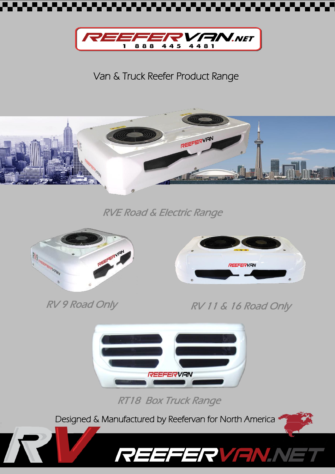



Van & Truck Reefer Product Range



RVE Road & Electric Range



RV 9 Road Only

I



RV RV 11 & 16 Road Only



RT18 Box Truck Range

REEFERVENN

Designed & Manufactured by Reefervan for North America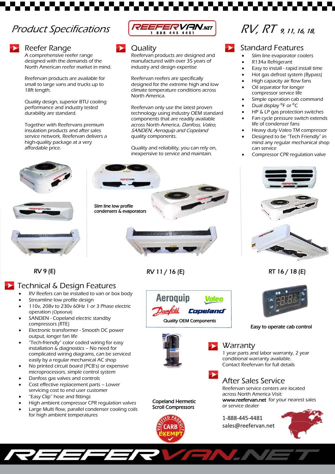# Product Specifications



## Reefer Range

A comprehensive reefer range designed with the demands of the North American reefer market in mind.

Reefervan products are available for small to large vans and trucks up to 18ft length.

Quality design, superior BTU cooling performance and industry tested durability are standard.

Together with Reefervans premium insulation products and after sales service network, Reefervan delivers a high-quality package at a very affordable price.



#### **Quality**

Reefervan products are designed and manufactured with over 35 years of industry and design expertise

Reefervan reefers are specifically designed for the extreme high and low climate temperature conditions across North America.

Reefervan only use the latest proven technology using industry OEM standard components that are readily available across North America, Danfoss, Valeo, SANDEN, Aeroquip and Copeland quality components.

Quality and reliability, you can rely on, inexpensive to service and maintain.

# RV, RT 9, 11, 16, 18,

### Standard Features

- Slim line evaporator coolers
- R134a Refrigerant
- Easy to install rapid install time
- Hot gas defrost system (Bypass)
- High capacity air flow fans
- Oil separator for longer compressor service life
- Simple operation cab command
	- Dual display <sup>0</sup>F or <sup>0</sup>C
- HP & LP gas protection switches
- Fan cycle pressure switch extends life of condenser fans
- Heavy duty Valeo TM compressor
- Designed to be "Tech Friendly" in mind any regular mechanical shop can service
- Compressor CPR regulation valve



RT 16 / 18 (E)



#### Easy to operate cab control

**Warranty** 

1 year parts and labor warranty, 2 year conditional warranty available. Contact Reefervan for full details

After Sales Service Reefervan service centers are located across North America Visit: [www.reefervan.net](http://www.reefervan.net/) for your nearest sales or service dealer

1-888-445-4481 sales@reefervan.net



RV 9 (E)

## Technical & Design Features

• RV Reefers can be installed to van or box body

Slim line low profile condensers & evaporators

.

- Streamline low profile design
- 110v, 208v to 230v 60Hz 1 or 3 Phase electric operation (Optional)
- SANDEN Copeland electric standby compressors (RTE)
- Electronic transformer Smooth DC power output, longer fan life
- "Tech-friendly" color coded wiring for easy installation & diagnostics – No need for complicated wiring diagrams, can be serviced easily by a regular mechanical AC shop
- No printed circuit board (PCB's) or expensive microprocessors, simple control system
- Danfoss gas valves and controls
- Cost effective replacement parts Lower servicing cost to end user customer
- "Easy Clip" hose and fittings
- High ambient compressor CPR regulation valves
- Large Multi flow, parallel condenser cooling coils for high ambient temperatures

RV 11 / 16 (E)

**Aeroguip Valeo** Copeland Quality OEM Components



Scroll Compressors





Copeland Hermetic